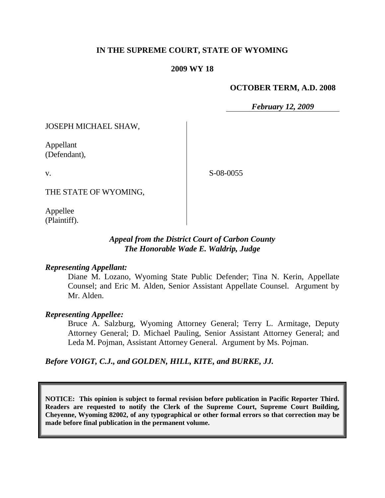## **IN THE SUPREME COURT, STATE OF WYOMING**

#### **2009 WY 18**

#### **OCTOBER TERM, A.D. 2008**

*February 12, 2009*

JOSEPH MICHAEL SHAW,

Appellant (Defendant),

v.

S-08-0055

THE STATE OF WYOMING,

Appellee (Plaintiff).

## *Appeal from the District Court of Carbon County The Honorable Wade E. Waldrip, Judge*

### *Representing Appellant:*

Diane M. Lozano, Wyoming State Public Defender; Tina N. Kerin, Appellate Counsel; and Eric M. Alden, Senior Assistant Appellate Counsel. Argument by Mr. Alden.

#### *Representing Appellee:*

Bruce A. Salzburg, Wyoming Attorney General; Terry L. Armitage, Deputy Attorney General; D. Michael Pauling, Senior Assistant Attorney General; and Leda M. Pojman, Assistant Attorney General. Argument by Ms. Pojman.

*Before VOIGT, C.J., and GOLDEN, HILL, KITE, and BURKE, JJ.*

**NOTICE: This opinion is subject to formal revision before publication in Pacific Reporter Third. Readers are requested to notify the Clerk of the Supreme Court, Supreme Court Building, Cheyenne, Wyoming 82002, of any typographical or other formal errors so that correction may be made before final publication in the permanent volume.**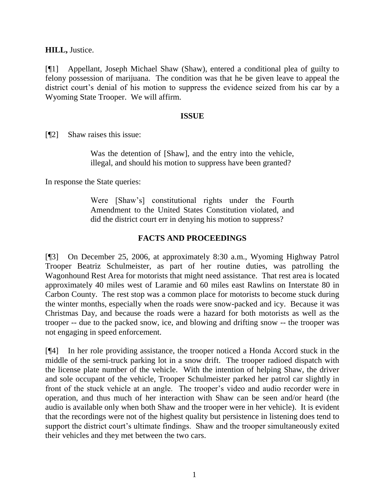**HILL,** Justice.

[¶1] Appellant, Joseph Michael Shaw (Shaw), entered a conditional plea of guilty to felony possession of marijuana. The condition was that he be given leave to appeal the district court's denial of his motion to suppress the evidence seized from his car by a Wyoming State Trooper. We will affirm.

#### **ISSUE**

[¶2] Shaw raises this issue:

Was the detention of [Shaw], and the entry into the vehicle, illegal, and should his motion to suppress have been granted?

In response the State queries:

Were [Shaw"s] constitutional rights under the Fourth Amendment to the United States Constitution violated, and did the district court err in denying his motion to suppress?

## **FACTS AND PROCEEDINGS**

[¶3] On December 25, 2006, at approximately 8:30 a.m., Wyoming Highway Patrol Trooper Beatriz Schulmeister, as part of her routine duties, was patrolling the Wagonhound Rest Area for motorists that might need assistance. That rest area is located approximately 40 miles west of Laramie and 60 miles east Rawlins on Interstate 80 in Carbon County. The rest stop was a common place for motorists to become stuck during the winter months, especially when the roads were snow-packed and icy. Because it was Christmas Day, and because the roads were a hazard for both motorists as well as the trooper -- due to the packed snow, ice, and blowing and drifting snow -- the trooper was not engaging in speed enforcement.

[¶4] In her role providing assistance, the trooper noticed a Honda Accord stuck in the middle of the semi-truck parking lot in a snow drift. The trooper radioed dispatch with the license plate number of the vehicle. With the intention of helping Shaw, the driver and sole occupant of the vehicle, Trooper Schulmeister parked her patrol car slightly in front of the stuck vehicle at an angle. The trooper"s video and audio recorder were in operation, and thus much of her interaction with Shaw can be seen and/or heard (the audio is available only when both Shaw and the trooper were in her vehicle). It is evident that the recordings were not of the highest quality but persistence in listening does tend to support the district court's ultimate findings. Shaw and the trooper simultaneously exited their vehicles and they met between the two cars.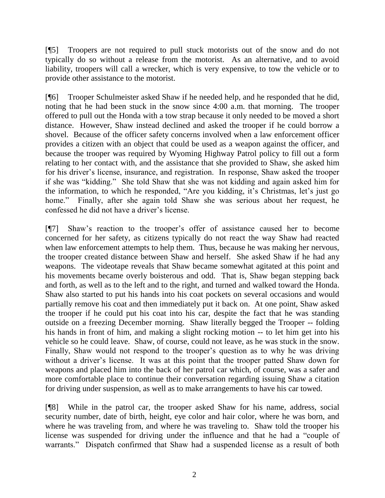[¶5] Troopers are not required to pull stuck motorists out of the snow and do not typically do so without a release from the motorist. As an alternative, and to avoid liability, troopers will call a wrecker, which is very expensive, to tow the vehicle or to provide other assistance to the motorist.

[¶6] Trooper Schulmeister asked Shaw if he needed help, and he responded that he did, noting that he had been stuck in the snow since 4:00 a.m. that morning. The trooper offered to pull out the Honda with a tow strap because it only needed to be moved a short distance. However, Shaw instead declined and asked the trooper if he could borrow a shovel. Because of the officer safety concerns involved when a law enforcement officer provides a citizen with an object that could be used as a weapon against the officer, and because the trooper was required by Wyoming Highway Patrol policy to fill out a form relating to her contact with, and the assistance that she provided to Shaw, she asked him for his driver's license, insurance, and registration. In response, Shaw asked the trooper if she was "kidding." She told Shaw that she was not kidding and again asked him for the information, to which he responded, "Are you kidding, it's Christmas, let's just go home." Finally, after she again told Shaw she was serious about her request, he confessed he did not have a driver"s license.

[¶7] Shaw"s reaction to the trooper"s offer of assistance caused her to become concerned for her safety, as citizens typically do not react the way Shaw had reacted when law enforcement attempts to help them. Thus, because he was making her nervous, the trooper created distance between Shaw and herself. She asked Shaw if he had any weapons. The videotape reveals that Shaw became somewhat agitated at this point and his movements became overly boisterous and odd. That is, Shaw began stepping back and forth, as well as to the left and to the right, and turned and walked toward the Honda. Shaw also started to put his hands into his coat pockets on several occasions and would partially remove his coat and then immediately put it back on. At one point, Shaw asked the trooper if he could put his coat into his car, despite the fact that he was standing outside on a freezing December morning. Shaw literally begged the Trooper -- folding his hands in front of him, and making a slight rocking motion -- to let him get into his vehicle so he could leave. Shaw, of course, could not leave, as he was stuck in the snow. Finally, Shaw would not respond to the trooper's question as to why he was driving without a driver's license. It was at this point that the trooper patted Shaw down for weapons and placed him into the back of her patrol car which, of course, was a safer and more comfortable place to continue their conversation regarding issuing Shaw a citation for driving under suspension, as well as to make arrangements to have his car towed.

[¶8] While in the patrol car, the trooper asked Shaw for his name, address, social security number, date of birth, height, eye color and hair color, where he was born, and where he was traveling from, and where he was traveling to. Shaw told the trooper his license was suspended for driving under the influence and that he had a "couple of warrants." Dispatch confirmed that Shaw had a suspended license as a result of both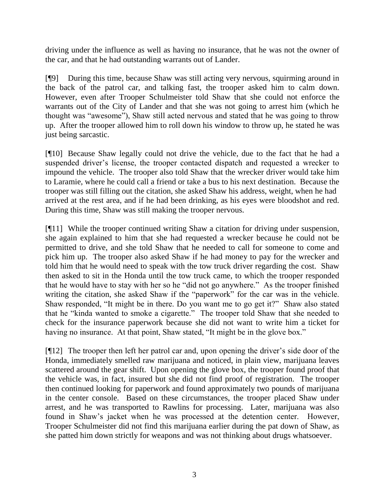driving under the influence as well as having no insurance, that he was not the owner of the car, and that he had outstanding warrants out of Lander.

[¶9] During this time, because Shaw was still acting very nervous, squirming around in the back of the patrol car, and talking fast, the trooper asked him to calm down. However, even after Trooper Schulmeister told Shaw that she could not enforce the warrants out of the City of Lander and that she was not going to arrest him (which he thought was "awesome"), Shaw still acted nervous and stated that he was going to throw up. After the trooper allowed him to roll down his window to throw up, he stated he was just being sarcastic.

[¶10] Because Shaw legally could not drive the vehicle, due to the fact that he had a suspended driver's license, the trooper contacted dispatch and requested a wrecker to impound the vehicle. The trooper also told Shaw that the wrecker driver would take him to Laramie, where he could call a friend or take a bus to his next destination. Because the trooper was still filling out the citation, she asked Shaw his address, weight, when he had arrived at the rest area, and if he had been drinking, as his eyes were bloodshot and red. During this time, Shaw was still making the trooper nervous.

[¶11] While the trooper continued writing Shaw a citation for driving under suspension, she again explained to him that she had requested a wrecker because he could not be permitted to drive, and she told Shaw that he needed to call for someone to come and pick him up. The trooper also asked Shaw if he had money to pay for the wrecker and told him that he would need to speak with the tow truck driver regarding the cost. Shaw then asked to sit in the Honda until the tow truck came, to which the trooper responded that he would have to stay with her so he "did not go anywhere." As the trooper finished writing the citation, she asked Shaw if the "paperwork" for the car was in the vehicle. Shaw responded, "It might be in there. Do you want me to go get it?" Shaw also stated that he "kinda wanted to smoke a cigarette." The trooper told Shaw that she needed to check for the insurance paperwork because she did not want to write him a ticket for having no insurance. At that point, Shaw stated, "It might be in the glove box."

[¶12] The trooper then left her patrol car and, upon opening the driver"s side door of the Honda, immediately smelled raw marijuana and noticed, in plain view, marijuana leaves scattered around the gear shift. Upon opening the glove box, the trooper found proof that the vehicle was, in fact, insured but she did not find proof of registration. The trooper then continued looking for paperwork and found approximately two pounds of marijuana in the center console. Based on these circumstances, the trooper placed Shaw under arrest, and he was transported to Rawlins for processing. Later, marijuana was also found in Shaw"s jacket when he was processed at the detention center. However, Trooper Schulmeister did not find this marijuana earlier during the pat down of Shaw, as she patted him down strictly for weapons and was not thinking about drugs whatsoever.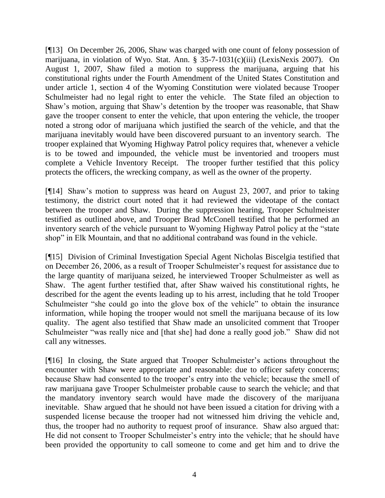[¶13] On December 26, 2006, Shaw was charged with one count of felony possession of marijuana, in violation of Wyo. Stat. Ann. § 35-7-1031(c)(iii) (LexisNexis 2007). On August 1, 2007, Shaw filed a motion to suppress the marijuana, arguing that his constitutional rights under the Fourth Amendment of the United States Constitution and under article 1, section 4 of the Wyoming Constitution were violated because Trooper Schulmeister had no legal right to enter the vehicle. The State filed an objection to Shaw"s motion, arguing that Shaw"s detention by the trooper was reasonable, that Shaw gave the trooper consent to enter the vehicle, that upon entering the vehicle, the trooper noted a strong odor of marijuana which justified the search of the vehicle, and that the marijuana inevitably would have been discovered pursuant to an inventory search. The trooper explained that Wyoming Highway Patrol policy requires that, whenever a vehicle is to be towed and impounded, the vehicle must be inventoried and troopers must complete a Vehicle Inventory Receipt. The trooper further testified that this policy protects the officers, the wrecking company, as well as the owner of the property.

[¶14] Shaw's motion to suppress was heard on August 23, 2007, and prior to taking testimony, the district court noted that it had reviewed the videotape of the contact between the trooper and Shaw. During the suppression hearing, Trooper Schulmeister testified as outlined above, and Trooper Brad McConell testified that he performed an inventory search of the vehicle pursuant to Wyoming Highway Patrol policy at the "state shop" in Elk Mountain, and that no additional contraband was found in the vehicle.

[¶15] Division of Criminal Investigation Special Agent Nicholas Biscelgia testified that on December 26, 2006, as a result of Trooper Schulmeister"s request for assistance due to the large quantity of marijuana seized, he interviewed Trooper Schulmeister as well as Shaw. The agent further testified that, after Shaw waived his constitutional rights, he described for the agent the events leading up to his arrest, including that he told Trooper Schulmeister "she could go into the glove box of the vehicle" to obtain the insurance information, while hoping the trooper would not smell the marijuana because of its low quality. The agent also testified that Shaw made an unsolicited comment that Trooper Schulmeister "was really nice and [that she] had done a really good job." Shaw did not call any witnesses.

[¶16] In closing, the State argued that Trooper Schulmeister"s actions throughout the encounter with Shaw were appropriate and reasonable: due to officer safety concerns; because Shaw had consented to the trooper's entry into the vehicle; because the smell of raw marijuana gave Trooper Schulmeister probable cause to search the vehicle; and that the mandatory inventory search would have made the discovery of the marijuana inevitable. Shaw argued that he should not have been issued a citation for driving with a suspended license because the trooper had not witnessed him driving the vehicle and, thus, the trooper had no authority to request proof of insurance. Shaw also argued that: He did not consent to Trooper Schulmeister's entry into the vehicle; that he should have been provided the opportunity to call someone to come and get him and to drive the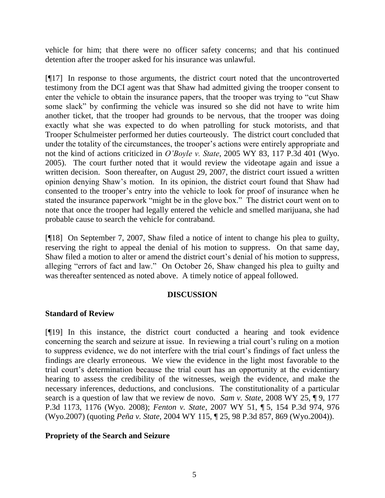vehicle for him; that there were no officer safety concerns; and that his continued detention after the trooper asked for his insurance was unlawful.

[¶17] In response to those arguments, the district court noted that the uncontroverted testimony from the DCI agent was that Shaw had admitted giving the trooper consent to enter the vehicle to obtain the insurance papers, that the trooper was trying to "cut Shaw some slack" by confirming the vehicle was insured so she did not have to write him another ticket, that the trooper had grounds to be nervous, that the trooper was doing exactly what she was expected to do when patrolling for stuck motorists, and that Trooper Schulmeister performed her duties courteously. The district court concluded that under the totality of the circumstances, the trooper"s actions were entirely appropriate and not the kind of actions criticized in *O'Boyle v. State*, 2005 WY 83, 117 P.3d 401 (Wyo. 2005). The court further noted that it would review the videotape again and issue a written decision. Soon thereafter, on August 29, 2007, the district court issued a written opinion denying Shaw"s motion. In its opinion, the district court found that Shaw had consented to the trooper"s entry into the vehicle to look for proof of insurance when he stated the insurance paperwork "might be in the glove box." The district court went on to note that once the trooper had legally entered the vehicle and smelled marijuana, she had probable cause to search the vehicle for contraband.

[¶18] On September 7, 2007, Shaw filed a notice of intent to change his plea to guilty, reserving the right to appeal the denial of his motion to suppress. On that same day, Shaw filed a motion to alter or amend the district court's denial of his motion to suppress, alleging "errors of fact and law." On October 26, Shaw changed his plea to guilty and was thereafter sentenced as noted above. A timely notice of appeal followed.

### **DISCUSSION**

# **Standard of Review**

[¶19] In this instance, the district court conducted a hearing and took evidence concerning the search and seizure at issue. In reviewing a trial court's ruling on a motion to suppress evidence, we do not interfere with the trial court"s findings of fact unless the findings are clearly erroneous. We view the evidence in the light most favorable to the trial court"s determination because the trial court has an opportunity at the evidentiary hearing to assess the credibility of the witnesses, weigh the evidence, and make the necessary inferences, deductions, and conclusions. The constitutionality of a particular search is a question of law that we review de novo. *Sam v. State*, 2008 WY 25, ¶ 9, 177 P.3d 1173, 1176 (Wyo. 2008); *Fenton v. State*, 2007 WY 51, ¶ 5, 154 P.3d 974, 976 (Wyo.2007) (quoting *Peña v. State*, 2004 WY 115, ¶ 25, 98 P.3d 857, 869 (Wyo.2004)).

# **Propriety of the Search and Seizure**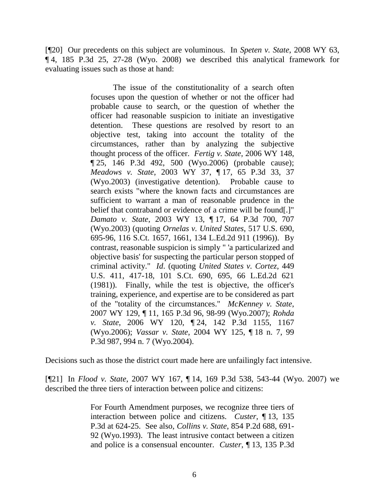[¶20] Our precedents on this subject are voluminous. In *Speten v. State*, 2008 WY 63, ¶ 4, 185 P.3d 25, 27-28 (Wyo. 2008) we described this analytical framework for evaluating issues such as those at hand:

> The issue of the constitutionality of a search often focuses upon the question of whether or not the officer had probable cause to search, or the question of whether the officer had reasonable suspicion to initiate an investigative detention. These questions are resolved by resort to an objective test, taking into account the totality of the circumstances, rather than by analyzing the subjective thought process of the officer. *Fertig v. State*, 2006 WY 148, ¶ 25, 146 P.3d 492, 500 (Wyo.2006) (probable cause); *Meadows v. State*, 2003 WY 37, ¶ 17, 65 P.3d 33, 37 (Wyo.2003) (investigative detention). Probable cause to search exists "where the known facts and circumstances are sufficient to warrant a man of reasonable prudence in the belief that contraband or evidence of a crime will be found[.]" *Damato v. State*, 2003 WY 13, ¶ 17, 64 P.3d 700, 707 (Wyo.2003) (quoting *Ornelas v. United States*, 517 U.S. 690, 695-96, 116 S.Ct. 1657, 1661, 134 L.Ed.2d 911 (1996)). By contrast, reasonable suspicion is simply " 'a particularized and objective basis' for suspecting the particular person stopped of criminal activity." *Id*. (quoting *United States v. Cortez*, 449 U.S. 411, 417-18, 101 S.Ct. 690, 695, 66 L.Ed.2d 621 (1981)). Finally, while the test is objective, the officer's training, experience, and expertise are to be considered as part of the "totality of the circumstances." *McKenney v. State*, 2007 WY 129, ¶ 11, 165 P.3d 96, 98-99 (Wyo.2007); *Rohda v. State*, 2006 WY 120, ¶ 24, 142 P.3d 1155, 1167 (Wyo.2006); *Vassar v. State*, 2004 WY 125, ¶ 18 n. 7, 99 P.3d 987, 994 n. 7 (Wyo.2004).

Decisions such as those the district court made here are unfailingly fact intensive.

[¶21] In *Flood v. State*, 2007 WY 167, ¶ 14, 169 P.3d 538, 543-44 (Wyo. 2007) we described the three tiers of interaction between police and citizens:

> For Fourth Amendment purposes, we recognize three tiers of interaction between police and citizens. *Custer*, ¶ 13, 135 P.3d at 624-25. See also, *Collins v. State*, 854 P.2d 688, 691- 92 (Wyo.1993). The least intrusive contact between a citizen and police is a consensual encounter. *Custer*, ¶ 13, 135 P.3d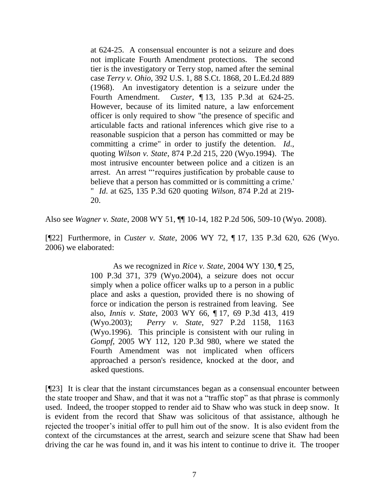at 624-25. A consensual encounter is not a seizure and does not implicate Fourth Amendment protections. The second tier is the investigatory or Terry stop, named after the seminal case *Terry v. Ohio*, 392 U.S. 1, 88 S.Ct. 1868, 20 L.Ed.2d 889 (1968). An investigatory detention is a seizure under the Fourth Amendment. *Custer*, ¶ 13, 135 P.3d at 624-25. However, because of its limited nature, a law enforcement officer is only required to show "the presence of specific and articulable facts and rational inferences which give rise to a reasonable suspicion that a person has committed or may be committing a crime" in order to justify the detention. *Id*., quoting *Wilson v. State*, 874 P.2d 215, 220 (Wyo.1994). The most intrusive encounter between police and a citizen is an arrest. An arrest ""requires justification by probable cause to believe that a person has committed or is committing a crime.' " *Id*. at 625, 135 P.3d 620 quoting *Wilson*, 874 P.2d at 219- 20.

Also see *Wagner v. State*, 2008 WY 51, ¶¶ 10-14, 182 P.2d 506, 509-10 (Wyo. 2008).

[¶22] Furthermore, in *Custer v. State*, 2006 WY 72, ¶ 17, 135 P.3d 620, 626 (Wyo. 2006) we elaborated:

> As we recognized in *Rice v. State*, 2004 WY 130, ¶ 25, 100 P.3d 371, 379 (Wyo.2004), a seizure does not occur simply when a police officer walks up to a person in a public place and asks a question, provided there is no showing of force or indication the person is restrained from leaving. See also, *Innis v. State*, 2003 WY 66, ¶ 17, 69 P.3d 413, 419 (Wyo.2003); *Perry v. State*, 927 P.2d 1158, 1163 (Wyo.1996). This principle is consistent with our ruling in *Gompf*, 2005 WY 112, 120 P.3d 980, where we stated the Fourth Amendment was not implicated when officers approached a person's residence, knocked at the door, and asked questions.

[¶23] It is clear that the instant circumstances began as a consensual encounter between the state trooper and Shaw, and that it was not a "traffic stop" as that phrase is commonly used. Indeed, the trooper stopped to render aid to Shaw who was stuck in deep snow. It is evident from the record that Shaw was solicitous of that assistance, although he rejected the trooper"s initial offer to pull him out of the snow. It is also evident from the context of the circumstances at the arrest, search and seizure scene that Shaw had been driving the car he was found in, and it was his intent to continue to drive it. The trooper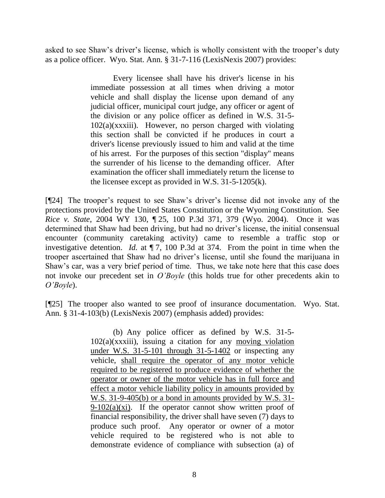asked to see Shaw's driver's license, which is wholly consistent with the trooper's duty as a police officer. Wyo. Stat. Ann. § 31-7-116 (LexisNexis 2007) provides:

> Every licensee shall have his driver's license in his immediate possession at all times when driving a motor vehicle and shall display the license upon demand of any judicial officer, municipal court judge, any officer or agent of the division or any police officer as defined in W.S. 31-5-  $102(a)(xxxiii)$ . However, no person charged with violating this section shall be convicted if he produces in court a driver's license previously issued to him and valid at the time of his arrest. For the purposes of this section "display" means the surrender of his license to the demanding officer. After examination the officer shall immediately return the license to the licensee except as provided in W.S. 31-5-1205(k).

[¶24] The trooper"s request to see Shaw"s driver"s license did not invoke any of the protections provided by the United States Constitution or the Wyoming Constitution. See *Rice v. State*, 2004 WY 130, ¶ 25, 100 P.3d 371, 379 (Wyo. 2004). Once it was determined that Shaw had been driving, but had no driver"s license, the initial consensual encounter (community caretaking activity) came to resemble a traffic stop or investigative detention. *Id.* at ¶ 7, 100 P.3d at 374. From the point in time when the trooper ascertained that Shaw had no driver"s license, until she found the marijuana in Shaw"s car, was a very brief period of time. Thus, we take note here that this case does not invoke our precedent set in *O'Boyle* (this holds true for other precedents akin to *O'Boyle*).

[¶25] The trooper also wanted to see proof of insurance documentation. Wyo. Stat. Ann. § 31-4-103(b) (LexisNexis 2007) (emphasis added) provides:

> (b) Any police officer as defined by W.S. 31-5-  $102(a)(xxxiii)$ , issuing a citation for any moving violation under W.S. 31-5-101 through 31-5-1402 or inspecting any vehicle, shall require the operator of any motor vehicle required to be registered to produce evidence of whether the operator or owner of the motor vehicle has in full force and effect a motor vehicle liability policy in amounts provided by W.S. 31-9-405(b) or a bond in amounts provided by W.S. 31-  $9-102(a)(xi)$ . If the operator cannot show written proof of financial responsibility, the driver shall have seven (7) days to produce such proof. Any operator or owner of a motor vehicle required to be registered who is not able to demonstrate evidence of compliance with subsection (a) of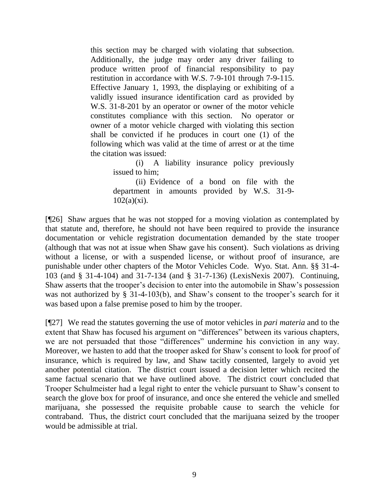this section may be charged with violating that subsection. Additionally, the judge may order any driver failing to produce written proof of financial responsibility to pay restitution in accordance with W.S. 7-9-101 through 7-9-115. Effective January 1, 1993, the displaying or exhibiting of a validly issued insurance identification card as provided by W.S. 31-8-201 by an operator or owner of the motor vehicle constitutes compliance with this section. No operator or owner of a motor vehicle charged with violating this section shall be convicted if he produces in court one (1) of the following which was valid at the time of arrest or at the time the citation was issued:

> (i) A liability insurance policy previously issued to him;

> (ii) Evidence of a bond on file with the department in amounts provided by W.S. 31-9- 102(a)(xi).

[¶26] Shaw argues that he was not stopped for a moving violation as contemplated by that statute and, therefore, he should not have been required to provide the insurance documentation or vehicle registration documentation demanded by the state trooper (although that was not at issue when Shaw gave his consent). Such violations as driving without a license, or with a suspended license, or without proof of insurance, are punishable under other chapters of the Motor Vehicles Code. Wyo. Stat. Ann. §§ 31-4- 103 (and § 31-4-104) and 31-7-134 (and § 31-7-136) (LexisNexis 2007). Continuing, Shaw asserts that the trooper"s decision to enter into the automobile in Shaw"s possession was not authorized by  $\S$  31-4-103(b), and Shaw's consent to the trooper's search for it was based upon a false premise posed to him by the trooper.

[¶27] We read the statutes governing the use of motor vehicles in *pari materia* and to the extent that Shaw has focused his argument on "differences" between its various chapters, we are not persuaded that those "differences" undermine his conviction in any way. Moreover, we hasten to add that the trooper asked for Shaw"s consent to look for proof of insurance, which is required by law, and Shaw tacitly consented, largely to avoid yet another potential citation. The district court issued a decision letter which recited the same factual scenario that we have outlined above. The district court concluded that Trooper Schulmeister had a legal right to enter the vehicle pursuant to Shaw"s consent to search the glove box for proof of insurance, and once she entered the vehicle and smelled marijuana, she possessed the requisite probable cause to search the vehicle for contraband. Thus, the district court concluded that the marijuana seized by the trooper would be admissible at trial.